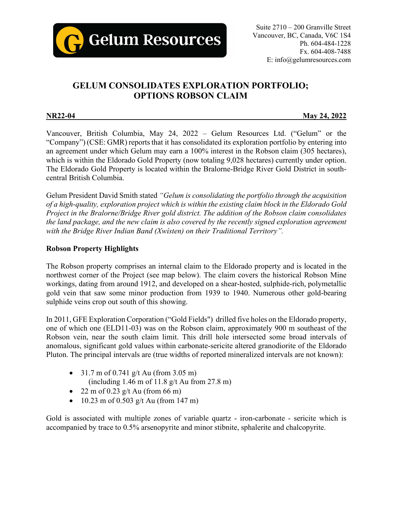

# **GELUM CONSOLIDATES EXPLORATION PORTFOLIO; OPTIONS ROBSON CLAIM**

**NR22-04 May 24, 2022**

Vancouver, British Columbia, May 24, 2022 – Gelum Resources Ltd. ("Gelum" or the "Company") (CSE: GMR) reports that it has consolidated its exploration portfolio by entering into an agreement under which Gelum may earn a 100% interest in the Robson claim (305 hectares), which is within the Eldorado Gold Property (now totaling 9,028 hectares) currently under option. The Eldorado Gold Property is located within the Bralorne-Bridge River Gold District in southcentral British Columbia.

Gelum President David Smith stated *"Gelum is consolidating the portfolio through the acquisition of a high-quality, exploration project which is within the existing claim block in the Eldorado Gold Project in the Bralorne/Bridge River gold district. The addition of the Robson claim consolidates the land package, and the new claim is also covered by the recently signed exploration agreement with the Bridge River Indian Band (Xwísten) on their Traditional Territory".*

## **Robson Property Highlights**

The Robson property comprises an internal claim to the Eldorado property and is located in the northwest corner of the Project (see map below). The claim covers the historical Robson Mine workings, dating from around 1912, and developed on a shear-hosted, sulphide-rich, polymetallic gold vein that saw some minor production from 1939 to 1940. Numerous other gold-bearing sulphide veins crop out south of this showing.

In 2011, GFE Exploration Corporation ("Gold Fields") drilled five holes on the Eldorado property, one of which one (ELD11-03) was on the Robson claim, approximately 900 m southeast of the Robson vein, near the south claim limit. This drill hole intersected some broad intervals of anomalous, significant gold values within carbonate-sericite altered granodiorite of the Eldorado Pluton. The principal intervals are (true widths of reported mineralized intervals are not known):

- 31.7 m of 0.741 g/t Au (from 3.05 m) (including 1.46 m of 11.8 g/t Au from 27.8 m)
- 22 m of 0.23 g/t Au (from 66 m)
- 10.23 m of 0.503 g/t Au (from 147 m)

Gold is associated with multiple zones of variable quartz - iron-carbonate - sericite which is accompanied by trace to 0.5% arsenopyrite and minor stibnite, sphalerite and chalcopyrite.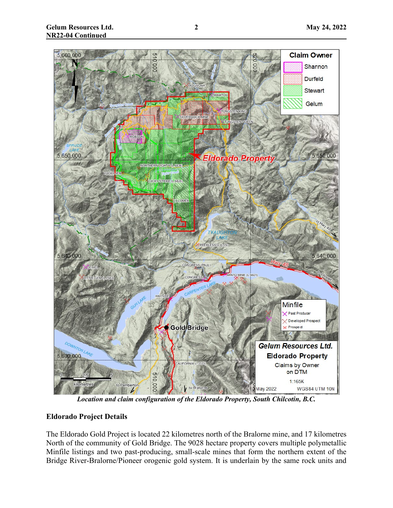

*Location and claim configuration of the Eldorado Property, South Chilcotin, B.C.*

## **Eldorado Project Details**

The Eldorado Gold Project is located 22 kilometres north of the Bralorne mine, and 17 kilometres North of the community of Gold Bridge. The 9028 hectare property covers multiple polymetallic Minfile listings and two past-producing, small-scale mines that form the northern extent of the Bridge River-Bralorne/Pioneer orogenic gold system. It is underlain by the same rock units and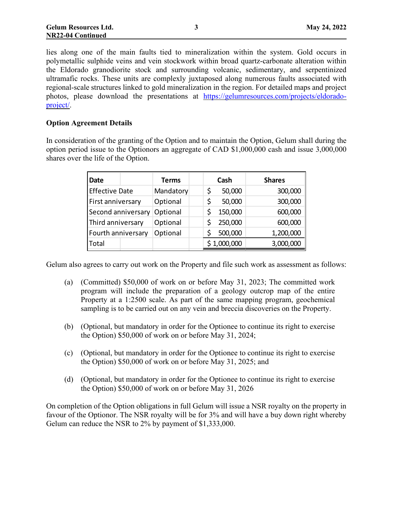lies along one of the main faults tied to mineralization within the system. Gold occurs in polymetallic sulphide veins and vein stockwork within broad quartz-carbonate alteration within the Eldorado granodiorite stock and surrounding volcanic, sedimentary, and serpentinized ultramafic rocks. These units are complexly juxtaposed along numerous faults associated with regional-scale structures linked to gold mineralization in the region. For detailed maps and project photos, please download the presentations at [https://gelumresources.com/projects/eldorado](https://gelumresources.com/projects/eldorado-project/)[project/.](https://gelumresources.com/projects/eldorado-project/)

#### **Option Agreement Details**

In consideration of the granting of the Option and to maintain the Option, Gelum shall during the option period issue to the Optionors an aggregate of CAD \$1,000,000 cash and issue 3,000,000 shares over the life of the Option.

| <b>Date</b>           | <b>Terms</b> |    | Cash        | <b>Shares</b> |
|-----------------------|--------------|----|-------------|---------------|
| <b>Effective Date</b> | Mandatory    | \$ | 50,000      | 300,000       |
| First anniversary     | Optional     |    | 50,000      | 300,000       |
| Second anniversary    | Optional     |    | 150,000     | 600,000       |
| Third anniversary     | Optional     |    | 250,000     | 600,000       |
| Fourth anniversary    | Optional     |    | 500,000     | 1,200,000     |
| Total                 |              |    | \$1,000,000 | 3,000,000     |

Gelum also agrees to carry out work on the Property and file such work as assessment as follows:

- (a) (Committed) \$50,000 of work on or before May 31, 2023; The committed work program will include the preparation of a geology outcrop map of the entire Property at a 1:2500 scale. As part of the same mapping program, geochemical sampling is to be carried out on any vein and breccia discoveries on the Property.
- (b) (Optional, but mandatory in order for the Optionee to continue its right to exercise the Option) \$50,000 of work on or before May 31, 2024;
- (c) (Optional, but mandatory in order for the Optionee to continue its right to exercise the Option) \$50,000 of work on or before May 31, 2025; and
- (d) (Optional, but mandatory in order for the Optionee to continue its right to exercise the Option) \$50,000 of work on or before May 31, 2026

On completion of the Option obligations in full Gelum will issue a NSR royalty on the property in favour of the Optionor. The NSR royalty will be for 3% and will have a buy down right whereby Gelum can reduce the NSR to 2% by payment of \$1,333,000.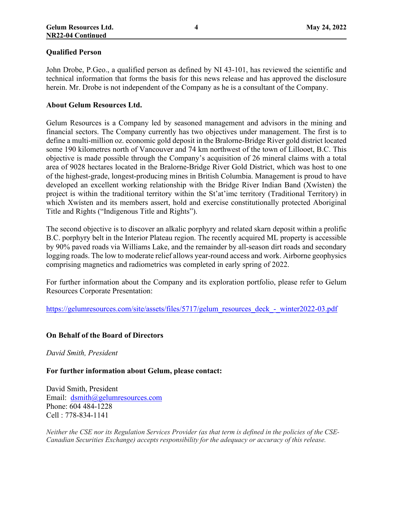#### **Qualified Person**

John Drobe, P.Geo., a qualified person as defined by NI 43-101, has reviewed the scientific and technical information that forms the basis for this news release and has approved the disclosure herein. Mr. Drobe is not independent of the Company as he is a consultant of the Company.

#### **About Gelum Resources Ltd.**

Gelum Resources is a Company led by seasoned management and advisors in the mining and financial sectors. The Company currently has two objectives under management. The first is to define a multi-million oz. economic gold deposit in the Bralorne-Bridge River gold district located some 190 kilometres north of Vancouver and 74 km northwest of the town of Lillooet, B.C. This objective is made possible through the Company's acquisition of 26 mineral claims with a total area of 9028 hectares located in the Bralorne-Bridge River Gold District, which was host to one of the highest-grade, longest-producing mines in British Columbia. Management is proud to have developed an excellent working relationship with the Bridge River Indian Band (Xwísten) the project is within the traditional territory within the St'at'imc territory (Traditional Territory) in which Xwísten and its members assert, hold and exercise constitutionally protected Aboriginal Title and Rights ("Indigenous Title and Rights").

The second objective is to discover an alkalic porphyry and related skarn deposit within a prolific B.C. porphyry belt in the Interior Plateau region. The recently acquired ML property is accessible by 90% paved roads via Williams Lake, and the remainder by all-season dirt roads and secondary logging roads. The low to moderate relief allows year-round access and work. Airborne geophysics comprising magnetics and radiometrics was completed in early spring of 2022.

For further information about the Company and its exploration portfolio, please refer to Gelum Resources Corporate Presentation:

[https://gelumresources.com/site/assets/files/5717/gelum\\_resources\\_deck\\_-\\_winter2022-03.pdf](https://gelumresources.com/site/assets/files/5717/gelum_resources_deck_-_winter2022-03.pdf)

#### **On Behalf of the Board of Directors**

*David Smith, President*

**For further information about Gelum, please contact:**

David Smith, President Email: [dsmith@gelumresources.com](mailto:dsmith@gelumresources.com) Phone: 604 484-1228 Cell : 778-834-1141

*Neither the CSE nor its Regulation Services Provider (as that term is defined in the policies of the CSE-Canadian Securities Exchange) accepts responsibility for the adequacy or accuracy of this release.*